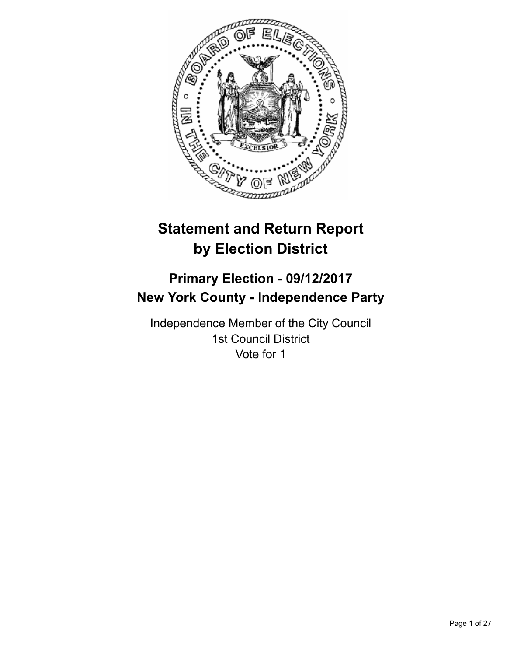

# **Statement and Return Report by Election District**

# **Primary Election - 09/12/2017 New York County - Independence Party**

Independence Member of the City Council 1st Council District Vote for 1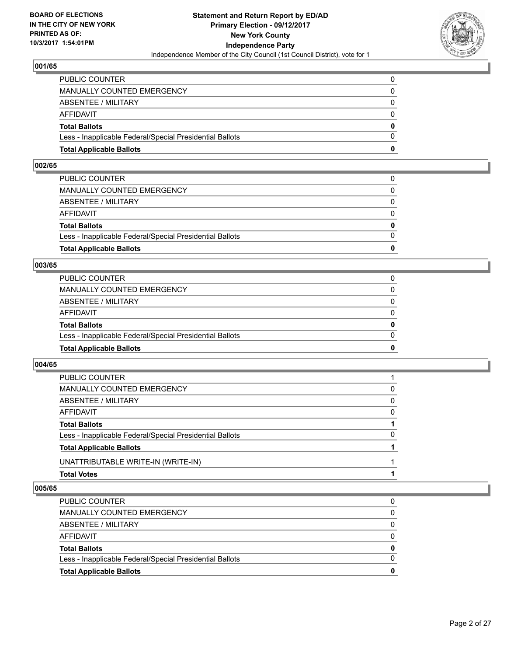

| <b>Total Applicable Ballots</b>                          | n            |
|----------------------------------------------------------|--------------|
| Less - Inapplicable Federal/Special Presidential Ballots | $\Omega$     |
| <b>Total Ballots</b>                                     | $\mathbf{0}$ |
| AFFIDAVIT                                                | $\Omega$     |
| <b>ABSENTEE / MILITARY</b>                               | $\Omega$     |
| MANUALLY COUNTED EMERGENCY                               | 0            |
| PUBLIC COUNTER                                           | 0            |

#### **002/65**

| <b>Total Applicable Ballots</b>                          | 0            |
|----------------------------------------------------------|--------------|
|                                                          |              |
| Less - Inapplicable Federal/Special Presidential Ballots | $\Omega$     |
| <b>Total Ballots</b>                                     | $\mathbf{0}$ |
| AFFIDAVIT                                                | $\Omega$     |
| ABSENTEE / MILITARY                                      | $\Omega$     |
| MANUALLY COUNTED EMERGENCY                               | 0            |
| PUBLIC COUNTER                                           |              |
|                                                          |              |

#### **003/65**

| <b>Total Applicable Ballots</b>                          | 0        |
|----------------------------------------------------------|----------|
| Less - Inapplicable Federal/Special Presidential Ballots |          |
| <b>Total Ballots</b>                                     | 0        |
| AFFIDAVIT                                                | 0        |
| ABSENTEE / MILITARY                                      | $\Omega$ |
| MANUALLY COUNTED EMERGENCY                               | $\Omega$ |
| PUBLIC COUNTER                                           |          |

#### **004/65**

| <sup>0</sup> |
|--------------|
|              |
| 0            |
| 0            |
| 0            |
|              |
|              |

| 0 |
|---|
|   |
|   |
| 0 |
|   |
|   |
| 0 |
|   |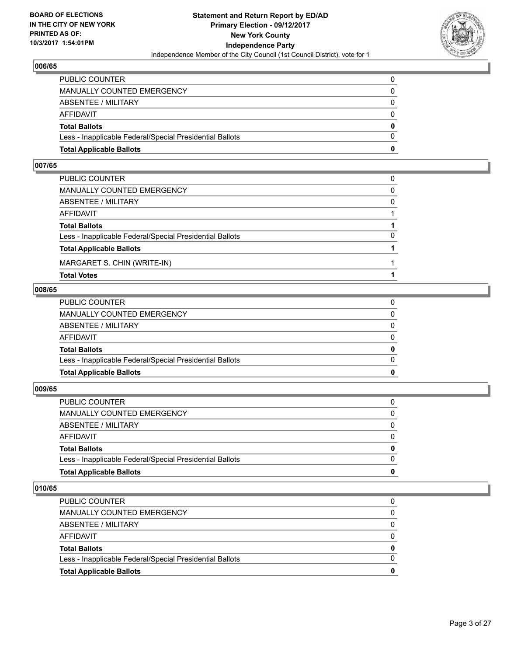

| <b>Total Applicable Ballots</b>                          | 0        |
|----------------------------------------------------------|----------|
| Less - Inapplicable Federal/Special Presidential Ballots | $\Omega$ |
| <b>Total Ballots</b>                                     | 0        |
| AFFIDAVIT                                                | $\Omega$ |
| <b>ABSENTEE / MILITARY</b>                               | $\Omega$ |
| MANUALLY COUNTED EMERGENCY                               | 0        |
| PUBLIC COUNTER                                           | 0        |

#### **007/65**

| PUBLIC COUNTER                                           | 0        |
|----------------------------------------------------------|----------|
| MANUALLY COUNTED EMERGENCY                               | $\Omega$ |
| ABSENTEE / MILITARY                                      | $\Omega$ |
| AFFIDAVIT                                                |          |
| <b>Total Ballots</b>                                     |          |
| Less - Inapplicable Federal/Special Presidential Ballots | $\Omega$ |
| <b>Total Applicable Ballots</b>                          |          |
| MARGARET S. CHIN (WRITE-IN)                              |          |
| <b>Total Votes</b>                                       |          |

#### **008/65**

| PUBLIC COUNTER                                           | 0            |
|----------------------------------------------------------|--------------|
|                                                          |              |
| MANUALLY COUNTED EMERGENCY                               | $\Omega$     |
|                                                          |              |
| ABSENTEE / MILITARY                                      | $\Omega$     |
|                                                          |              |
| AFFIDAVIT                                                | $\Omega$     |
| <b>Total Ballots</b>                                     | $\mathbf{0}$ |
|                                                          |              |
| Less - Inapplicable Federal/Special Presidential Ballots | $\Omega$     |
|                                                          |              |
| <b>Total Applicable Ballots</b>                          | 0            |
|                                                          |              |

# **009/65**

| PUBLIC COUNTER                                           | 0            |
|----------------------------------------------------------|--------------|
| MANUALLY COUNTED EMERGENCY                               | 0            |
| ABSENTEE / MILITARY                                      | $\Omega$     |
| AFFIDAVIT                                                | $\Omega$     |
| <b>Total Ballots</b>                                     | $\mathbf{0}$ |
| Less - Inapplicable Federal/Special Presidential Ballots | $\Omega$     |
| <b>Total Applicable Ballots</b>                          | 0            |
|                                                          |              |

| 0 |
|---|
| 0 |
|   |
|   |
| 0 |
|   |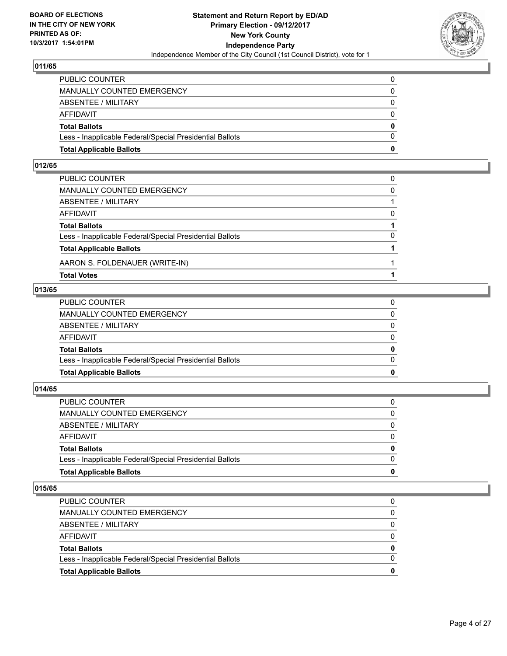

| <b>Total Applicable Ballots</b>                          | 0            |
|----------------------------------------------------------|--------------|
| Less - Inapplicable Federal/Special Presidential Ballots | $\Omega$     |
| <b>Total Ballots</b>                                     | $\mathbf{0}$ |
| AFFIDAVIT                                                | $\Omega$     |
| <b>ABSENTEE / MILITARY</b>                               | $\Omega$     |
| <b>MANUALLY COUNTED EMERGENCY</b>                        | 0            |
| PUBLIC COUNTER                                           | 0            |

#### **012/65**

| PUBLIC COUNTER                                           |          |
|----------------------------------------------------------|----------|
| MANUALLY COUNTED EMERGENCY                               | $\Omega$ |
| ABSENTEE / MILITARY                                      |          |
| AFFIDAVIT                                                | $\Omega$ |
| <b>Total Ballots</b>                                     |          |
| Less - Inapplicable Federal/Special Presidential Ballots | $\Omega$ |
| <b>Total Applicable Ballots</b>                          |          |
| AARON S. FOLDENAUER (WRITE-IN)                           |          |
| <b>Total Votes</b>                                       |          |

## **013/65**

| <b>Total Applicable Ballots</b>                          | 0            |
|----------------------------------------------------------|--------------|
| Less - Inapplicable Federal/Special Presidential Ballots | $\Omega$     |
| <b>Total Ballots</b>                                     | $\mathbf{0}$ |
| AFFIDAVIT                                                | $\Omega$     |
| ABSENTEE / MILITARY                                      | $\Omega$     |
| MANUALLY COUNTED EMERGENCY                               | $\mathbf{0}$ |
| PUBLIC COUNTER                                           |              |
|                                                          |              |

# **014/65**

| PUBLIC COUNTER                                           | 0            |
|----------------------------------------------------------|--------------|
| MANUALLY COUNTED EMERGENCY                               | 0            |
| ABSENTEE / MILITARY                                      | $\Omega$     |
| AFFIDAVIT                                                | $\Omega$     |
| <b>Total Ballots</b>                                     | $\mathbf{0}$ |
| Less - Inapplicable Federal/Special Presidential Ballots | $\Omega$     |
| <b>Total Applicable Ballots</b>                          | 0            |
|                                                          |              |

| <b>Total Applicable Ballots</b>                          |   |
|----------------------------------------------------------|---|
| Less - Inapplicable Federal/Special Presidential Ballots |   |
| <b>Total Ballots</b>                                     | 0 |
| AFFIDAVIT                                                | 0 |
| ABSENTEE / MILITARY                                      |   |
| MANUALLY COUNTED EMERGENCY                               |   |
| <b>PUBLIC COUNTER</b>                                    | 0 |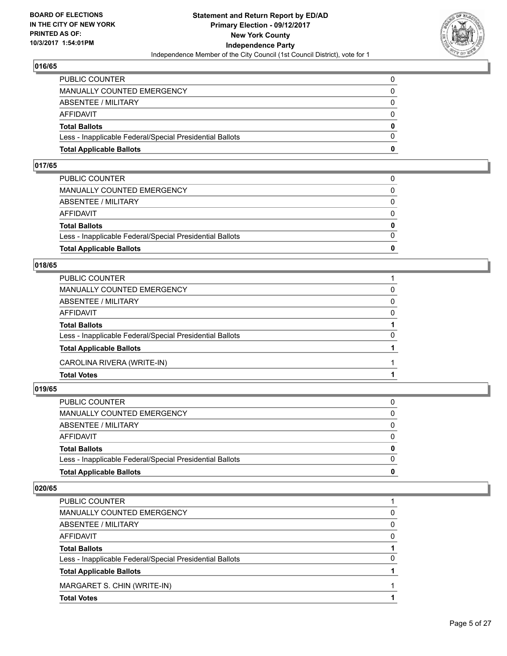

| <b>Total Applicable Ballots</b>                          | o            |
|----------------------------------------------------------|--------------|
| Less - Inapplicable Federal/Special Presidential Ballots | 0            |
| <b>Total Ballots</b>                                     | $\mathbf{0}$ |
| <b>AFFIDAVIT</b>                                         | $\Omega$     |
| <b>ABSENTEE / MILITARY</b>                               | 0            |
| <b>MANUALLY COUNTED EMERGENCY</b>                        | $\Omega$     |
| PUBLIC COUNTER                                           | 0            |

#### **017/65**

| <b>Total Applicable Ballots</b>                          | 0            |
|----------------------------------------------------------|--------------|
| Less - Inapplicable Federal/Special Presidential Ballots | $\Omega$     |
| <b>Total Ballots</b>                                     | $\mathbf{0}$ |
| AFFIDAVIT                                                | $\Omega$     |
| ABSENTEE / MILITARY                                      | $\Omega$     |
| MANUALLY COUNTED EMERGENCY                               | $\Omega$     |
| PUBLIC COUNTER                                           |              |

#### **018/65**

| PUBLIC COUNTER                                           |          |
|----------------------------------------------------------|----------|
| <b>MANUALLY COUNTED EMERGENCY</b>                        | 0        |
| ABSENTEE / MILITARY                                      | 0        |
| <b>AFFIDAVIT</b>                                         | $\Omega$ |
| <b>Total Ballots</b>                                     |          |
| Less - Inapplicable Federal/Special Presidential Ballots | 0        |
| <b>Total Applicable Ballots</b>                          |          |
| CAROLINA RIVERA (WRITE-IN)                               |          |
| <b>Total Votes</b>                                       |          |

# **019/65**

| <b>Total Applicable Ballots</b>                          | $\bf{0}$     |
|----------------------------------------------------------|--------------|
| Less - Inapplicable Federal/Special Presidential Ballots | $\Omega$     |
| <b>Total Ballots</b>                                     | $\bf{0}$     |
| AFFIDAVIT                                                | 0            |
| ABSENTEE / MILITARY                                      | $\Omega$     |
| MANUALLY COUNTED EMERGENCY                               | $\mathbf{0}$ |
| PUBLIC COUNTER                                           | 0            |
|                                                          |              |

| 0 |
|---|
| 0 |
| 0 |
|   |
| 0 |
|   |
|   |
|   |
|   |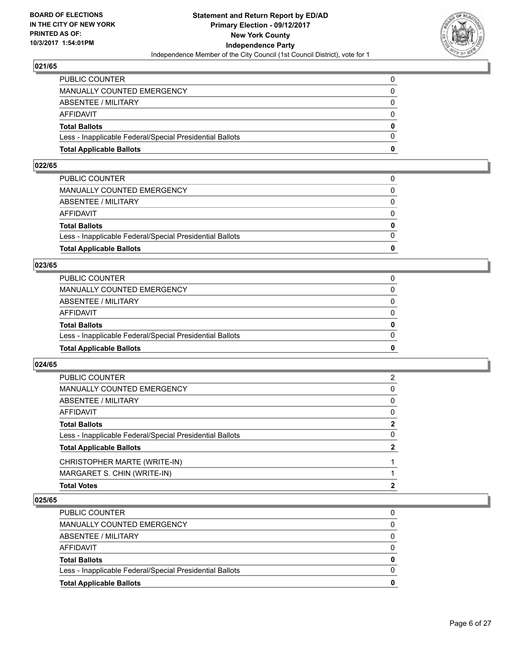

| <b>Total Applicable Ballots</b>                          | 0        |
|----------------------------------------------------------|----------|
| Less - Inapplicable Federal/Special Presidential Ballots | $\Omega$ |
| <b>Total Ballots</b>                                     | $\bf{0}$ |
| <b>AFFIDAVIT</b>                                         | 0        |
| <b>ABSENTEE / MILITARY</b>                               | $\Omega$ |
| <b>MANUALLY COUNTED EMERGENCY</b>                        | $\Omega$ |
| PUBLIC COUNTER                                           |          |

#### **022/65**

| <b>Total Applicable Ballots</b>                          | 0            |
|----------------------------------------------------------|--------------|
|                                                          |              |
| Less - Inapplicable Federal/Special Presidential Ballots | $\Omega$     |
| <b>Total Ballots</b>                                     | $\mathbf{0}$ |
| AFFIDAVIT                                                | $\Omega$     |
| ABSENTEE / MILITARY                                      | $\Omega$     |
| MANUALLY COUNTED EMERGENCY                               | 0            |
| PUBLIC COUNTER                                           |              |
|                                                          |              |

#### **023/65**

| <b>Total Applicable Ballots</b>                          | 0        |
|----------------------------------------------------------|----------|
| Less - Inapplicable Federal/Special Presidential Ballots | 0        |
| <b>Total Ballots</b>                                     | 0        |
| AFFIDAVIT                                                | 0        |
| <b>ABSENTEE / MILITARY</b>                               | $\Omega$ |
| MANUALLY COUNTED EMERGENCY                               |          |
| PUBLIC COUNTER                                           |          |

#### **024/65**

| <b>Total Votes</b>                                       | 2           |
|----------------------------------------------------------|-------------|
| MARGARET S. CHIN (WRITE-IN)                              |             |
| CHRISTOPHER MARTE (WRITE-IN)                             |             |
| <b>Total Applicable Ballots</b>                          | 2           |
| Less - Inapplicable Federal/Special Presidential Ballots | 0           |
| <b>Total Ballots</b>                                     | $\mathbf 2$ |
| AFFIDAVIT                                                | 0           |
| ABSENTEE / MILITARY                                      | 0           |
| MANUALLY COUNTED EMERGENCY                               | 0           |
| PUBLIC COUNTER                                           | 2           |

| <b>Total Applicable Ballots</b>                          |   |
|----------------------------------------------------------|---|
| Less - Inapplicable Federal/Special Presidential Ballots | O |
| <b>Total Ballots</b>                                     | 0 |
| AFFIDAVIT                                                | 0 |
| ABSENTEE / MILITARY                                      | 0 |
| MANUALLY COUNTED EMERGENCY                               |   |
| <b>PUBLIC COUNTER</b>                                    |   |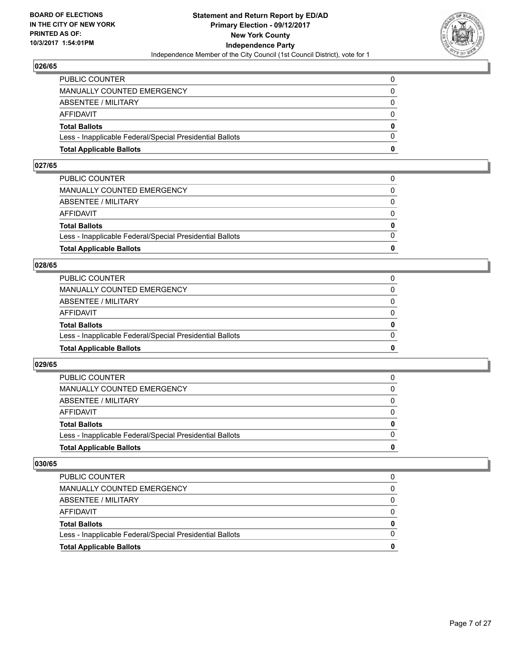

| <b>Total Applicable Ballots</b>                          | o        |
|----------------------------------------------------------|----------|
| Less - Inapplicable Federal/Special Presidential Ballots | 0        |
| <b>Total Ballots</b>                                     | $\bf{0}$ |
| <b>AFFIDAVIT</b>                                         | $\Omega$ |
| <b>ABSENTEE / MILITARY</b>                               | 0        |
| <b>MANUALLY COUNTED EMERGENCY</b>                        | $\Omega$ |
| PUBLIC COUNTER                                           | 0        |

#### **027/65**

| PUBLIC COUNTER                                           | 0            |
|----------------------------------------------------------|--------------|
| MANUALLY COUNTED EMERGENCY                               | 0            |
| ABSENTEE / MILITARY                                      | $\Omega$     |
| AFFIDAVIT                                                | $\Omega$     |
| <b>Total Ballots</b>                                     | $\mathbf{0}$ |
| Less - Inapplicable Federal/Special Presidential Ballots | $\Omega$     |
| <b>Total Applicable Ballots</b>                          | 0            |
|                                                          |              |

#### **028/65**

| <b>Total Applicable Ballots</b>                          | 0        |
|----------------------------------------------------------|----------|
| Less - Inapplicable Federal/Special Presidential Ballots | $\Omega$ |
| <b>Total Ballots</b>                                     | 0        |
| <b>AFFIDAVIT</b>                                         | 0        |
| ABSENTEE / MILITARY                                      | $\Omega$ |
| <b>MANUALLY COUNTED EMERGENCY</b>                        | 0        |
| PUBLIC COUNTER                                           |          |

#### **029/65**

| <b>Total Applicable Ballots</b>                          | 0        |
|----------------------------------------------------------|----------|
| Less - Inapplicable Federal/Special Presidential Ballots |          |
| <b>Total Ballots</b>                                     | $\bf{0}$ |
| <b>AFFIDAVIT</b>                                         |          |
| ABSENTEE / MILITARY                                      | 0        |
| MANUALLY COUNTED EMERGENCY                               | 0        |
| <b>PUBLIC COUNTER</b>                                    | 0        |

| <b>Total Applicable Ballots</b>                          |   |
|----------------------------------------------------------|---|
| Less - Inapplicable Federal/Special Presidential Ballots |   |
| <b>Total Ballots</b>                                     | 0 |
| AFFIDAVIT                                                |   |
| ABSENTEE / MILITARY                                      |   |
| MANUALLY COUNTED EMERGENCY                               |   |
| <b>PUBLIC COUNTER</b>                                    |   |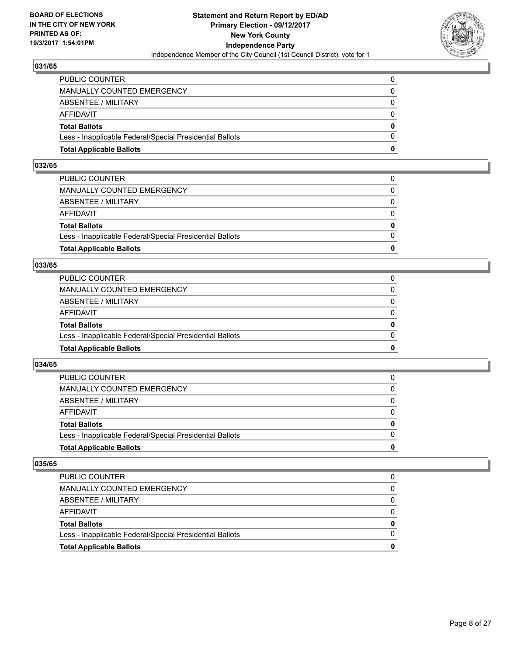

| <b>Total Applicable Ballots</b>                          | n        |
|----------------------------------------------------------|----------|
| Less - Inapplicable Federal/Special Presidential Ballots | $\Omega$ |
| <b>Total Ballots</b>                                     | $\bf{0}$ |
| AFFIDAVIT                                                | $\Omega$ |
| <b>ABSENTEE / MILITARY</b>                               | $\Omega$ |
| MANUALLY COUNTED EMERGENCY                               | 0        |
| PUBLIC COUNTER                                           | 0        |

#### **032/65**

| <b>Total Applicable Ballots</b>                          | 0            |
|----------------------------------------------------------|--------------|
|                                                          |              |
| Less - Inapplicable Federal/Special Presidential Ballots | $\Omega$     |
| <b>Total Ballots</b>                                     | $\mathbf{0}$ |
| AFFIDAVIT                                                | $\Omega$     |
| ABSENTEE / MILITARY                                      | $\Omega$     |
| MANUALLY COUNTED EMERGENCY                               | 0            |
| PUBLIC COUNTER                                           |              |
|                                                          |              |

#### **033/65**

| <b>Total Applicable Ballots</b>                          | 0        |
|----------------------------------------------------------|----------|
| Less - Inapplicable Federal/Special Presidential Ballots | $\Omega$ |
| <b>Total Ballots</b>                                     | 0        |
| <b>AFFIDAVIT</b>                                         | 0        |
| ABSENTEE / MILITARY                                      | $\Omega$ |
| MANUALLY COUNTED EMERGENCY                               | 0        |
| <b>PUBLIC COUNTER</b>                                    |          |

#### **034/65**

| <b>Total Applicable Ballots</b>                          | 0        |
|----------------------------------------------------------|----------|
| Less - Inapplicable Federal/Special Presidential Ballots |          |
| <b>Total Ballots</b>                                     | $\bf{0}$ |
| <b>AFFIDAVIT</b>                                         |          |
| ABSENTEE / MILITARY                                      | 0        |
| MANUALLY COUNTED EMERGENCY                               | 0        |
| <b>PUBLIC COUNTER</b>                                    | 0        |

| <b>Total Applicable Ballots</b>                          | 0 |
|----------------------------------------------------------|---|
| Less - Inapplicable Federal/Special Presidential Ballots |   |
| <b>Total Ballots</b>                                     | 0 |
| AFFIDAVIT                                                |   |
| ABSENTEE / MILITARY                                      |   |
| <b>MANUALLY COUNTED EMERGENCY</b>                        | 0 |
| PUBLIC COUNTER                                           |   |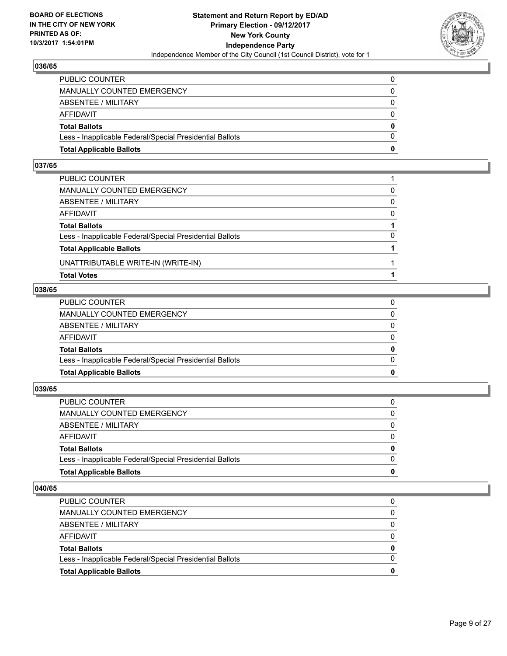

| <b>Total Applicable Ballots</b>                          | 0        |
|----------------------------------------------------------|----------|
| Less - Inapplicable Federal/Special Presidential Ballots | $\Omega$ |
| <b>Total Ballots</b>                                     | 0        |
| AFFIDAVIT                                                | $\Omega$ |
| <b>ABSENTEE / MILITARY</b>                               | $\Omega$ |
| MANUALLY COUNTED EMERGENCY                               | 0        |
| PUBLIC COUNTER                                           | 0        |

## **037/65**

| PUBLIC COUNTER                                           |          |
|----------------------------------------------------------|----------|
| MANUALLY COUNTED EMERGENCY                               | 0        |
| ABSENTEE / MILITARY                                      | $\Omega$ |
| AFFIDAVIT                                                | $\Omega$ |
| <b>Total Ballots</b>                                     |          |
| Less - Inapplicable Federal/Special Presidential Ballots | $\Omega$ |
| <b>Total Applicable Ballots</b>                          |          |
| UNATTRIBUTABLE WRITE-IN (WRITE-IN)                       |          |
| <b>Total Votes</b>                                       |          |

#### **038/65**

| PUBLIC COUNTER                                           | 0            |
|----------------------------------------------------------|--------------|
|                                                          |              |
| MANUALLY COUNTED EMERGENCY                               | $\Omega$     |
|                                                          |              |
| ABSENTEE / MILITARY                                      | $\Omega$     |
|                                                          |              |
| AFFIDAVIT                                                | $\Omega$     |
| <b>Total Ballots</b>                                     | $\mathbf{0}$ |
|                                                          |              |
| Less - Inapplicable Federal/Special Presidential Ballots | $\Omega$     |
|                                                          |              |
| <b>Total Applicable Ballots</b>                          | 0            |
|                                                          |              |

# **039/65**

| PUBLIC COUNTER                                           | 0            |
|----------------------------------------------------------|--------------|
| MANUALLY COUNTED EMERGENCY                               | 0            |
| ABSENTEE / MILITARY                                      | $\Omega$     |
| AFFIDAVIT                                                | $\Omega$     |
| <b>Total Ballots</b>                                     | $\mathbf{0}$ |
| Less - Inapplicable Federal/Special Presidential Ballots | $\Omega$     |
| <b>Total Applicable Ballots</b>                          | 0            |
|                                                          |              |

| 0 |
|---|
| 0 |
|   |
|   |
| 0 |
|   |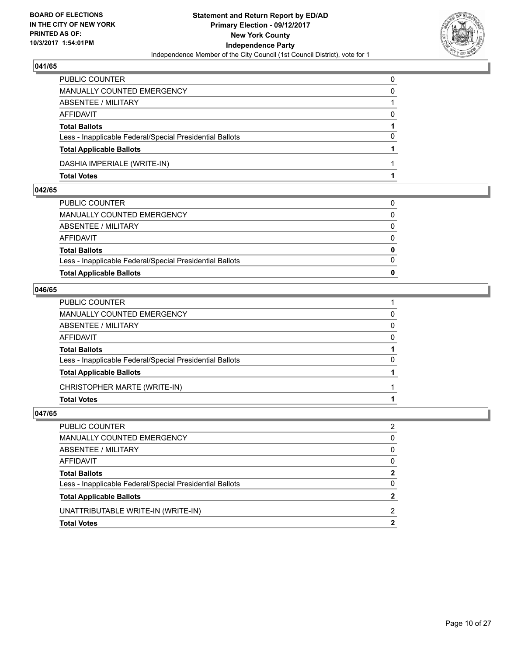

| <b>Total Votes</b>                                       |          |
|----------------------------------------------------------|----------|
| DASHIA IMPERIALE (WRITE-IN)                              |          |
| <b>Total Applicable Ballots</b>                          |          |
| Less - Inapplicable Federal/Special Presidential Ballots | 0        |
| <b>Total Ballots</b>                                     |          |
| <b>AFFIDAVIT</b>                                         | $\Omega$ |
| ABSENTEE / MILITARY                                      |          |
| <b>MANUALLY COUNTED EMERGENCY</b>                        | 0        |
| PUBLIC COUNTER                                           | 0        |

#### **042/65**

| PUBLIC COUNTER                                           | 0        |
|----------------------------------------------------------|----------|
|                                                          |          |
| MANUALLY COUNTED EMERGENCY                               | $\Omega$ |
|                                                          |          |
| ABSENTEE / MILITARY                                      | $\Omega$ |
|                                                          |          |
| AFFIDAVIT                                                | $\Omega$ |
| <b>Total Ballots</b>                                     | $\bf{0}$ |
|                                                          |          |
| Less - Inapplicable Federal/Special Presidential Ballots | $\Omega$ |
|                                                          |          |
| <b>Total Applicable Ballots</b>                          | $\Omega$ |
|                                                          |          |

#### **046/65**

| PUBLIC COUNTER                                           |          |
|----------------------------------------------------------|----------|
| MANUALLY COUNTED EMERGENCY                               | 0        |
| ABSENTEE / MILITARY                                      | 0        |
| AFFIDAVIT                                                | $\Omega$ |
| <b>Total Ballots</b>                                     |          |
| Less - Inapplicable Federal/Special Presidential Ballots | 0        |
| <b>Total Applicable Ballots</b>                          |          |
| CHRISTOPHER MARTE (WRITE-IN)                             |          |
| <b>Total Votes</b>                                       |          |
|                                                          |          |

| PUBLIC COUNTER                                           | 2            |
|----------------------------------------------------------|--------------|
| MANUALLY COUNTED EMERGENCY                               | $\mathbf{0}$ |
| ABSENTEE / MILITARY                                      | $\mathbf{0}$ |
| AFFIDAVIT                                                | $\mathbf{0}$ |
| <b>Total Ballots</b>                                     | $\mathbf{2}$ |
| Less - Inapplicable Federal/Special Presidential Ballots | $\Omega$     |
| <b>Total Applicable Ballots</b>                          | $\mathbf{2}$ |
| UNATTRIBUTABLE WRITE-IN (WRITE-IN)                       | 2            |
| <b>Total Votes</b>                                       | $\mathbf{2}$ |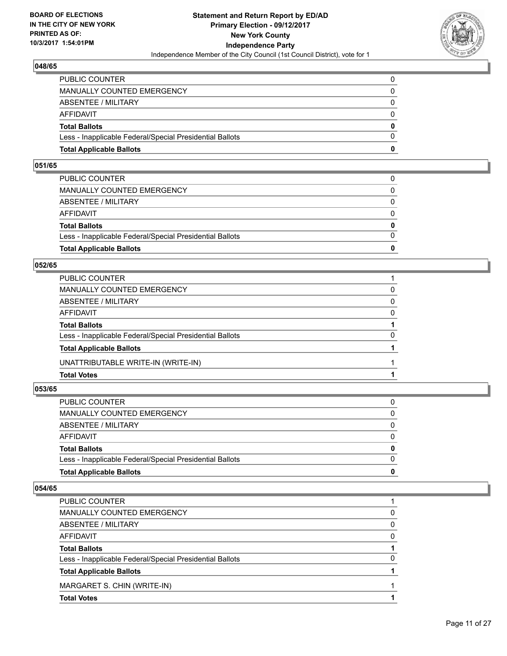

| <b>Total Applicable Ballots</b>                          | n        |
|----------------------------------------------------------|----------|
| Less - Inapplicable Federal/Special Presidential Ballots | $\Omega$ |
| <b>Total Ballots</b>                                     | $\bf{0}$ |
| AFFIDAVIT                                                | $\Omega$ |
| <b>ABSENTEE / MILITARY</b>                               | $\Omega$ |
| MANUALLY COUNTED EMERGENCY                               | 0        |
| PUBLIC COUNTER                                           | 0        |

#### **051/65**

| PUBLIC COUNTER                                           | 0            |
|----------------------------------------------------------|--------------|
|                                                          |              |
| MANUALLY COUNTED EMERGENCY                               | 0            |
|                                                          |              |
| ABSENTEE / MILITARY                                      | $\Omega$     |
|                                                          |              |
|                                                          |              |
| AFFIDAVIT                                                | $\Omega$     |
|                                                          |              |
| <b>Total Ballots</b>                                     | $\mathbf{0}$ |
|                                                          |              |
| Less - Inapplicable Federal/Special Presidential Ballots | $\Omega$     |
|                                                          |              |
| <b>Total Applicable Ballots</b>                          | 0            |
|                                                          |              |

#### **052/65**

| <b>Total Votes</b>                                       |          |
|----------------------------------------------------------|----------|
| UNATTRIBUTABLE WRITE-IN (WRITE-IN)                       |          |
| <b>Total Applicable Ballots</b>                          |          |
| Less - Inapplicable Federal/Special Presidential Ballots | 0        |
| <b>Total Ballots</b>                                     |          |
| <b>AFFIDAVIT</b>                                         | $\Omega$ |
| <b>ABSENTEE / MILITARY</b>                               | 0        |
| <b>MANUALLY COUNTED EMERGENCY</b>                        | 0        |
| PUBLIC COUNTER                                           |          |

# **053/65**

| <b>Total Applicable Ballots</b>                          | $\bf{0}$     |
|----------------------------------------------------------|--------------|
| Less - Inapplicable Federal/Special Presidential Ballots | $\Omega$     |
| <b>Total Ballots</b>                                     | $\bf{0}$     |
| AFFIDAVIT                                                | 0            |
| ABSENTEE / MILITARY                                      | $\Omega$     |
| MANUALLY COUNTED EMERGENCY                               | $\mathbf{0}$ |
| PUBLIC COUNTER                                           | 0            |
|                                                          |              |

| 0 |
|---|
| 0 |
| 0 |
|   |
| 0 |
|   |
|   |
|   |
|   |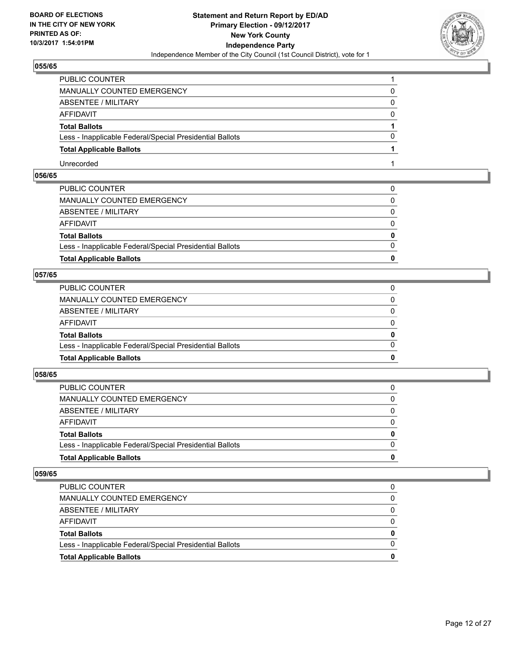

| PUBLIC COUNTER                                           |   |
|----------------------------------------------------------|---|
| MANUALLY COUNTED EMERGENCY                               | 0 |
| ABSENTEE / MILITARY                                      | 0 |
| AFFIDAVIT                                                | 0 |
| <b>Total Ballots</b>                                     |   |
| Less - Inapplicable Federal/Special Presidential Ballots | 0 |
| <b>Total Applicable Ballots</b>                          |   |
| Unrecorded                                               |   |

# **056/65**

| <b>Total Applicable Ballots</b>                          | $\bf{0}$     |
|----------------------------------------------------------|--------------|
| Less - Inapplicable Federal/Special Presidential Ballots | $\Omega$     |
| <b>Total Ballots</b>                                     | $\mathbf{0}$ |
| AFFIDAVIT                                                | $\Omega$     |
| ABSENTEE / MILITARY                                      | $\mathbf{0}$ |
| MANUALLY COUNTED EMERGENCY                               | 0            |
| PUBLIC COUNTER                                           |              |

# **057/65**

| <b>Total Applicable Ballots</b>                          | n        |
|----------------------------------------------------------|----------|
| Less - Inapplicable Federal/Special Presidential Ballots | $\Omega$ |
| <b>Total Ballots</b>                                     | $\bf{0}$ |
| AFFIDAVIT                                                | $\Omega$ |
| ABSENTEE / MILITARY                                      | $\Omega$ |
| MANUALLY COUNTED EMERGENCY                               | 0        |
| PUBLIC COUNTER                                           |          |

#### **058/65**

| <b>Total Applicable Ballots</b>                          | 0        |
|----------------------------------------------------------|----------|
| Less - Inapplicable Federal/Special Presidential Ballots | 0        |
| <b>Total Ballots</b>                                     | 0        |
| AFFIDAVIT                                                | 0        |
| ABSENTEE / MILITARY                                      | $\Omega$ |
| MANUALLY COUNTED EMERGENCY                               | 0        |
| PUBLIC COUNTER                                           |          |

| <b>PUBLIC COUNTER</b>                                    |   |
|----------------------------------------------------------|---|
| MANUALLY COUNTED EMERGENCY                               |   |
| ABSENTEE / MILITARY                                      |   |
| AFFIDAVIT                                                |   |
| <b>Total Ballots</b>                                     | 0 |
| Less - Inapplicable Federal/Special Presidential Ballots |   |
| <b>Total Applicable Ballots</b>                          | o |
|                                                          |   |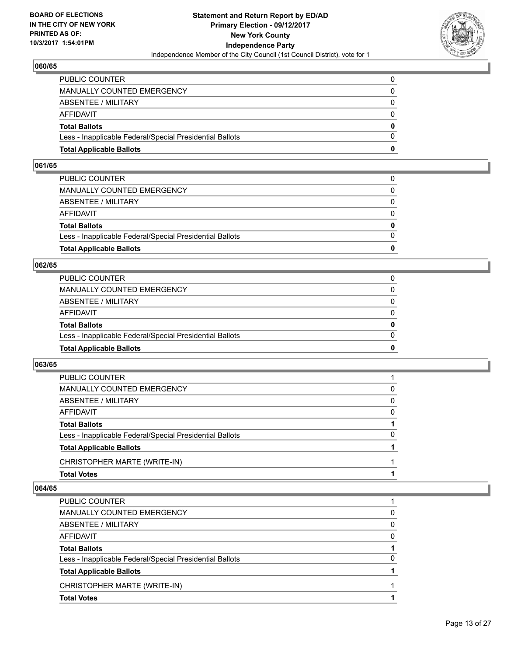

| <b>Total Applicable Ballots</b>                          | o        |
|----------------------------------------------------------|----------|
| Less - Inapplicable Federal/Special Presidential Ballots | 0        |
| <b>Total Ballots</b>                                     | $\bf{0}$ |
| <b>AFFIDAVIT</b>                                         | $\Omega$ |
| <b>ABSENTEE / MILITARY</b>                               | 0        |
| <b>MANUALLY COUNTED EMERGENCY</b>                        | $\Omega$ |
| PUBLIC COUNTER                                           | 0        |

#### **061/65**

| PUBLIC COUNTER                                           | 0            |
|----------------------------------------------------------|--------------|
| MANUALLY COUNTED EMERGENCY                               | 0            |
| ABSENTEE / MILITARY                                      | $\Omega$     |
| AFFIDAVIT                                                | $\Omega$     |
| <b>Total Ballots</b>                                     | $\mathbf{0}$ |
| Less - Inapplicable Federal/Special Presidential Ballots | $\Omega$     |
| <b>Total Applicable Ballots</b>                          | 0            |
|                                                          |              |

#### **062/65**

| <b>Total Applicable Ballots</b>                          | 0        |
|----------------------------------------------------------|----------|
| Less - Inapplicable Federal/Special Presidential Ballots | $\Omega$ |
| <b>Total Ballots</b>                                     | 0        |
| <b>AFFIDAVIT</b>                                         | 0        |
| ABSENTEE / MILITARY                                      | 0        |
| MANUALLY COUNTED EMERGENCY                               | 0        |
| PUBLIC COUNTER                                           |          |

#### **063/65**

| <b>Total Votes</b>                                       |   |
|----------------------------------------------------------|---|
| CHRISTOPHER MARTE (WRITE-IN)                             |   |
| <b>Total Applicable Ballots</b>                          |   |
| Less - Inapplicable Federal/Special Presidential Ballots | 0 |
| <b>Total Ballots</b>                                     |   |
| <b>AFFIDAVIT</b>                                         | 0 |
| <b>ABSENTEE / MILITARY</b>                               | 0 |
| <b>MANUALLY COUNTED EMERGENCY</b>                        | 0 |
| PUBLIC COUNTER                                           |   |

| PUBLIC COUNTER                                           |   |
|----------------------------------------------------------|---|
| MANUALLY COUNTED EMERGENCY                               | 0 |
| ABSENTEE / MILITARY                                      | 0 |
| AFFIDAVIT                                                | 0 |
| <b>Total Ballots</b>                                     |   |
| Less - Inapplicable Federal/Special Presidential Ballots | 0 |
| <b>Total Applicable Ballots</b>                          |   |
| CHRISTOPHER MARTE (WRITE-IN)                             |   |
| <b>Total Votes</b>                                       |   |
|                                                          |   |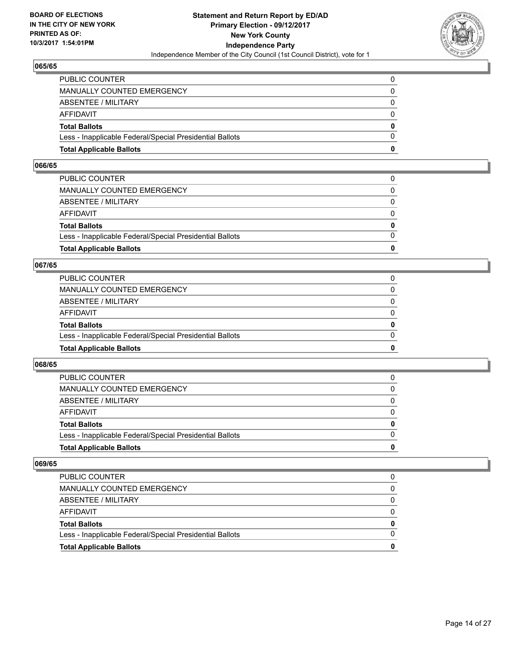

| <b>Total Applicable Ballots</b>                          | o        |
|----------------------------------------------------------|----------|
| Less - Inapplicable Federal/Special Presidential Ballots | 0        |
| <b>Total Ballots</b>                                     | $\bf{0}$ |
| <b>AFFIDAVIT</b>                                         | $\Omega$ |
| <b>ABSENTEE / MILITARY</b>                               | 0        |
| <b>MANUALLY COUNTED EMERGENCY</b>                        | $\Omega$ |
| PUBLIC COUNTER                                           | 0        |

#### **066/65**

| PUBLIC COUNTER                                           | 0            |
|----------------------------------------------------------|--------------|
| MANUALLY COUNTED EMERGENCY                               | 0            |
| ABSENTEE / MILITARY                                      | $\Omega$     |
| AFFIDAVIT                                                | $\Omega$     |
| <b>Total Ballots</b>                                     | $\mathbf{0}$ |
| Less - Inapplicable Federal/Special Presidential Ballots | $\Omega$     |
| <b>Total Applicable Ballots</b>                          | 0            |
|                                                          |              |

## **067/65**

| <b>Total Applicable Ballots</b>                          | 0        |
|----------------------------------------------------------|----------|
| Less - Inapplicable Federal/Special Presidential Ballots | $\Omega$ |
| <b>Total Ballots</b>                                     | 0        |
| <b>AFFIDAVIT</b>                                         | 0        |
| ABSENTEE / MILITARY                                      | $\Omega$ |
| MANUALLY COUNTED EMERGENCY                               | 0        |
| <b>PUBLIC COUNTER</b>                                    |          |

#### **068/65**

| <b>Total Applicable Ballots</b>                          | 0        |
|----------------------------------------------------------|----------|
| Less - Inapplicable Federal/Special Presidential Ballots |          |
| <b>Total Ballots</b>                                     | $\bf{0}$ |
| <b>AFFIDAVIT</b>                                         |          |
| ABSENTEE / MILITARY                                      | 0        |
| MANUALLY COUNTED EMERGENCY                               | 0        |
| <b>PUBLIC COUNTER</b>                                    | 0        |

| <b>Total Applicable Ballots</b>                          |   |
|----------------------------------------------------------|---|
| Less - Inapplicable Federal/Special Presidential Ballots |   |
| <b>Total Ballots</b>                                     | 0 |
| AFFIDAVIT                                                |   |
| ABSENTEE / MILITARY                                      |   |
| MANUALLY COUNTED EMERGENCY                               |   |
| <b>PUBLIC COUNTER</b>                                    |   |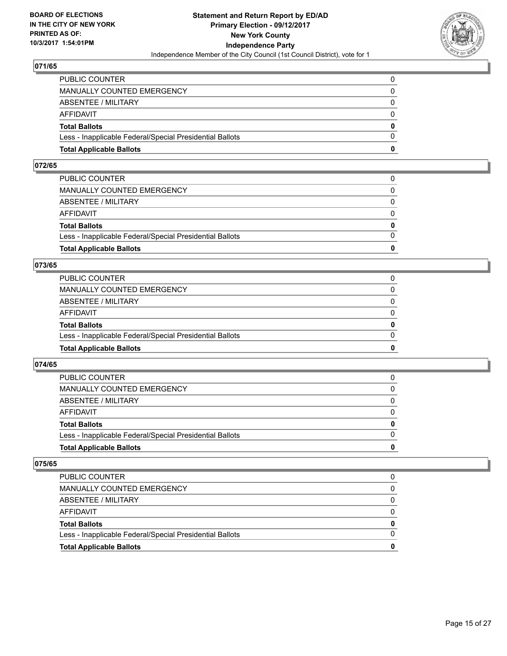

| <b>Total Applicable Ballots</b>                          | n        |
|----------------------------------------------------------|----------|
| Less - Inapplicable Federal/Special Presidential Ballots | $\Omega$ |
| <b>Total Ballots</b>                                     | $\bf{0}$ |
| AFFIDAVIT                                                | $\Omega$ |
| <b>ABSENTEE / MILITARY</b>                               | $\Omega$ |
| MANUALLY COUNTED EMERGENCY                               | 0        |
| PUBLIC COUNTER                                           | 0        |

#### **072/65**

| <b>Total Applicable Ballots</b>                          | 0            |
|----------------------------------------------------------|--------------|
|                                                          |              |
| Less - Inapplicable Federal/Special Presidential Ballots | $\Omega$     |
| <b>Total Ballots</b>                                     | $\mathbf{0}$ |
| AFFIDAVIT                                                | $\Omega$     |
| ABSENTEE / MILITARY                                      | $\Omega$     |
| MANUALLY COUNTED EMERGENCY                               | 0            |
| PUBLIC COUNTER                                           |              |
|                                                          |              |

#### **073/65**

| <b>Total Applicable Ballots</b>                          | 0        |
|----------------------------------------------------------|----------|
| Less - Inapplicable Federal/Special Presidential Ballots | $\Omega$ |
| <b>Total Ballots</b>                                     | 0        |
| AFFIDAVIT                                                | $\Omega$ |
| <b>ABSENTEE / MILITARY</b>                               | $\Omega$ |
| <b>MANUALLY COUNTED EMERGENCY</b>                        |          |
| PUBLIC COUNTER                                           |          |

#### **074/65**

| <b>Total Applicable Ballots</b>                          | 0        |
|----------------------------------------------------------|----------|
| Less - Inapplicable Federal/Special Presidential Ballots |          |
| <b>Total Ballots</b>                                     | $\bf{0}$ |
| <b>AFFIDAVIT</b>                                         |          |
| ABSENTEE / MILITARY                                      | 0        |
| MANUALLY COUNTED EMERGENCY                               | 0        |
| <b>PUBLIC COUNTER</b>                                    | 0        |

| <b>Total Applicable Ballots</b>                          |   |
|----------------------------------------------------------|---|
| Less - Inapplicable Federal/Special Presidential Ballots |   |
| <b>Total Ballots</b>                                     | 0 |
| AFFIDAVIT                                                |   |
| ABSENTEE / MILITARY                                      |   |
| MANUALLY COUNTED EMERGENCY                               |   |
| PUBLIC COUNTER                                           |   |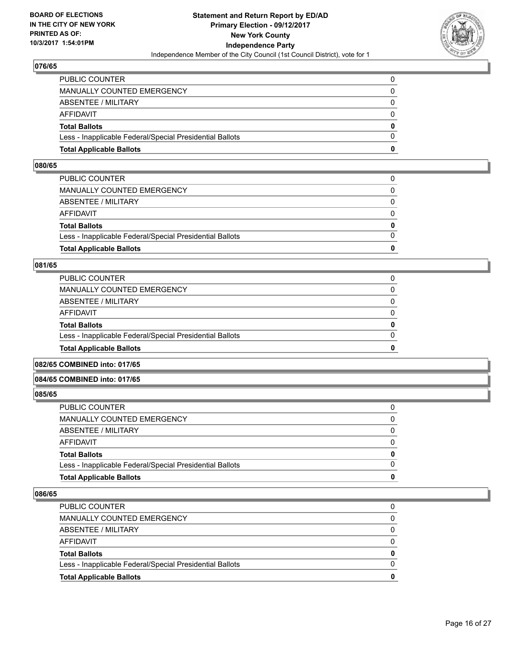

| <b>Total Applicable Ballots</b>                          | n        |
|----------------------------------------------------------|----------|
| Less - Inapplicable Federal/Special Presidential Ballots | $\Omega$ |
| <b>Total Ballots</b>                                     | $\bf{0}$ |
| AFFIDAVIT                                                | $\Omega$ |
| <b>ABSENTEE / MILITARY</b>                               | $\Omega$ |
| MANUALLY COUNTED EMERGENCY                               | 0        |
| PUBLIC COUNTER                                           | 0        |

#### **080/65**

| PUBLIC COUNTER                                           | 0            |
|----------------------------------------------------------|--------------|
| MANUALLY COUNTED EMERGENCY                               | $\Omega$     |
| ABSENTEE / MILITARY                                      | $\Omega$     |
| AFFIDAVIT                                                | $\Omega$     |
| <b>Total Ballots</b>                                     | $\mathbf{0}$ |
| Less - Inapplicable Federal/Special Presidential Ballots | $\Omega$     |
| <b>Total Applicable Ballots</b>                          | 0            |
|                                                          |              |

#### **081/65**

| <b>Total Applicable Ballots</b>                          | 0            |
|----------------------------------------------------------|--------------|
| Less - Inapplicable Federal/Special Presidential Ballots | $\Omega$     |
| <b>Total Ballots</b>                                     | $\mathbf{0}$ |
| AFFIDAVIT                                                | $\Omega$     |
| ABSENTEE / MILITARY                                      | 0            |
| MANUALLY COUNTED EMERGENCY                               | 0            |
| <b>PUBLIC COUNTER</b>                                    |              |

# **082/65 COMBINED into: 017/65**

## **084/65 COMBINED into: 017/65**

**085/65** 

| <b>Total Applicable Ballots</b>                          | 0            |
|----------------------------------------------------------|--------------|
|                                                          |              |
| Less - Inapplicable Federal/Special Presidential Ballots | $\Omega$     |
| <b>Total Ballots</b>                                     | $\mathbf{0}$ |
| AFFIDAVIT                                                | $\Omega$     |
| ABSENTEE / MILITARY                                      | 0            |
| MANUALLY COUNTED EMERGENCY                               | $\Omega$     |
| PUBLIC COUNTER                                           |              |

| <b>Total Applicable Ballots</b>                          | 0        |
|----------------------------------------------------------|----------|
| Less - Inapplicable Federal/Special Presidential Ballots | $\Omega$ |
| <b>Total Ballots</b>                                     | $\bf{0}$ |
| AFFIDAVIT                                                | $\Omega$ |
| ABSENTEE / MILITARY                                      | 0        |
| MANUALLY COUNTED EMERGENCY                               | 0        |
| <b>PUBLIC COUNTER</b>                                    | 0        |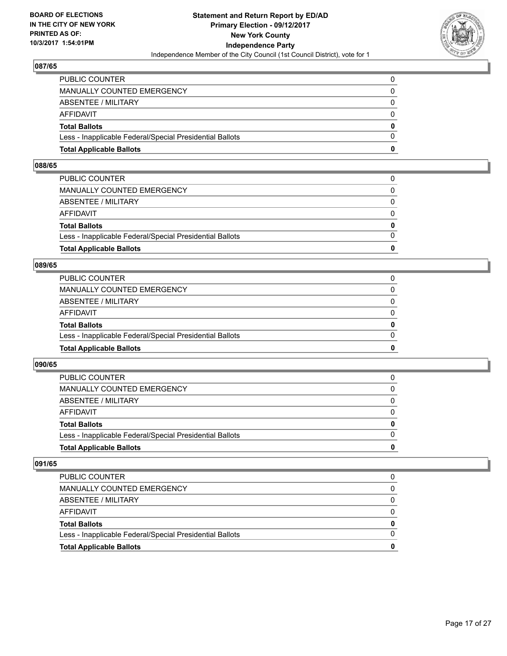

| <b>Total Applicable Ballots</b>                          | n        |
|----------------------------------------------------------|----------|
| Less - Inapplicable Federal/Special Presidential Ballots | $\Omega$ |
| <b>Total Ballots</b>                                     | $\bf{0}$ |
| AFFIDAVIT                                                | $\Omega$ |
| <b>ABSENTEE / MILITARY</b>                               | $\Omega$ |
| <b>MANUALLY COUNTED EMERGENCY</b>                        | $\Omega$ |
| PUBLIC COUNTER                                           |          |

#### **088/65**

| <b>Total Applicable Ballots</b>                          | 0            |
|----------------------------------------------------------|--------------|
|                                                          |              |
| Less - Inapplicable Federal/Special Presidential Ballots | $\Omega$     |
| <b>Total Ballots</b>                                     | $\mathbf{0}$ |
| AFFIDAVIT                                                | $\Omega$     |
| ABSENTEE / MILITARY                                      | $\Omega$     |
| MANUALLY COUNTED EMERGENCY                               | 0            |
| PUBLIC COUNTER                                           |              |
|                                                          |              |

#### **089/65**

| <b>Total Applicable Ballots</b>                          | 0            |
|----------------------------------------------------------|--------------|
| Less - Inapplicable Federal/Special Presidential Ballots | $\Omega$     |
| <b>Total Ballots</b>                                     | 0            |
| <b>AFFIDAVIT</b>                                         | 0            |
| ABSENTEE / MILITARY                                      | 0            |
| MANUALLY COUNTED EMERGENCY                               | $\mathbf{0}$ |
| PUBLIC COUNTER                                           |              |

#### **090/65**

| <b>Total Applicable Ballots</b>                          | 0        |
|----------------------------------------------------------|----------|
| Less - Inapplicable Federal/Special Presidential Ballots |          |
| <b>Total Ballots</b>                                     | $\bf{0}$ |
| <b>AFFIDAVIT</b>                                         |          |
| ABSENTEE / MILITARY                                      | 0        |
| MANUALLY COUNTED EMERGENCY                               | 0        |
| <b>PUBLIC COUNTER</b>                                    | 0        |

| <b>Total Applicable Ballots</b>                          |   |
|----------------------------------------------------------|---|
| Less - Inapplicable Federal/Special Presidential Ballots |   |
| <b>Total Ballots</b>                                     | 0 |
| AFFIDAVIT                                                |   |
| ABSENTEE / MILITARY                                      |   |
| MANUALLY COUNTED EMERGENCY                               |   |
| <b>PUBLIC COUNTER</b>                                    |   |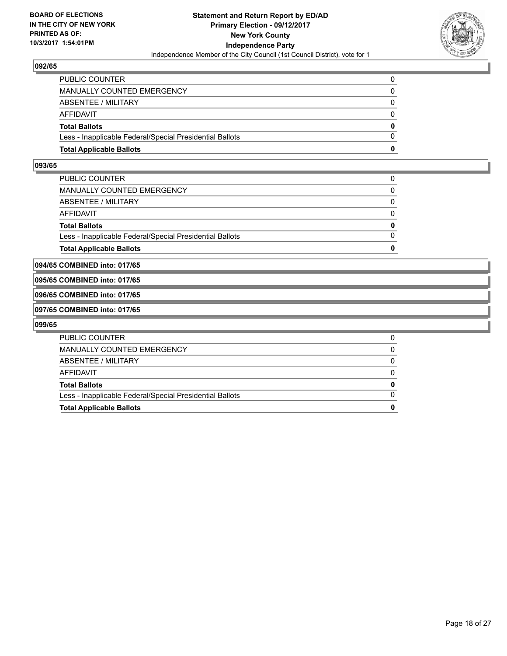

| <b>Total Applicable Ballots</b>                          | o        |
|----------------------------------------------------------|----------|
| Less - Inapplicable Federal/Special Presidential Ballots | $\Omega$ |
| <b>Total Ballots</b>                                     | 0        |
| AFFIDAVIT                                                | $\Omega$ |
| <b>ABSENTEE / MILITARY</b>                               | 0        |
| MANUALLY COUNTED EMERGENCY                               | 0        |
| PUBLIC COUNTER                                           |          |

#### **093/65**

| Less - Inapplicable Federal/Special Presidential Ballots | $\Omega$ |
|----------------------------------------------------------|----------|
| <b>Total Ballots</b>                                     | $\bf{0}$ |
| <b>AFFIDAVIT</b>                                         | $\Omega$ |
| <b>ABSENTEE / MILITARY</b>                               | 0        |
| MANUALLY COUNTED EMERGENCY                               | $\Omega$ |
| PUBLIC COUNTER                                           | 0        |

**094/65 COMBINED into: 017/65**

#### **095/65 COMBINED into: 017/65**

#### **096/65 COMBINED into: 017/65**

#### **097/65 COMBINED into: 017/65**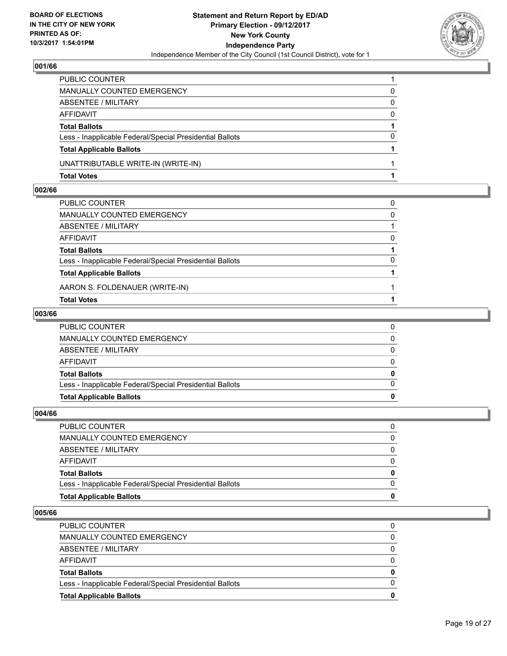

| PUBLIC COUNTER                                           |          |
|----------------------------------------------------------|----------|
| MANUALLY COUNTED EMERGENCY                               | 0        |
| ABSENTEE / MILITARY                                      | 0        |
| AFFIDAVIT                                                | $\Omega$ |
| <b>Total Ballots</b>                                     |          |
| Less - Inapplicable Federal/Special Presidential Ballots | $\Omega$ |
| <b>Total Applicable Ballots</b>                          |          |
| UNATTRIBUTABLE WRITE-IN (WRITE-IN)                       |          |
| <b>Total Votes</b>                                       |          |

## **002/66**

| PUBLIC COUNTER                                           | 0        |
|----------------------------------------------------------|----------|
| MANUALLY COUNTED EMERGENCY                               | $\Omega$ |
| ABSENTEE / MILITARY                                      |          |
| AFFIDAVIT                                                | 0        |
| <b>Total Ballots</b>                                     |          |
| Less - Inapplicable Federal/Special Presidential Ballots | 0        |
| <b>Total Applicable Ballots</b>                          |          |
| AARON S. FOLDENAUER (WRITE-IN)                           |          |
| <b>Total Votes</b>                                       |          |

## **003/66**

| <b>Total Applicable Ballots</b>                          | 0 |
|----------------------------------------------------------|---|
| Less - Inapplicable Federal/Special Presidential Ballots | 0 |
| <b>Total Ballots</b>                                     | 0 |
| AFFIDAVIT                                                | 0 |
| ABSENTEE / MILITARY                                      | 0 |
| MANUALLY COUNTED EMERGENCY                               | 0 |
| PUBLIC COUNTER                                           |   |

# **004/66**

| <b>Total Applicable Ballots</b>                          | 0 |
|----------------------------------------------------------|---|
| Less - Inapplicable Federal/Special Presidential Ballots | 0 |
| <b>Total Ballots</b>                                     | 0 |
| AFFIDAVIT                                                | 0 |
| ABSENTEE / MILITARY                                      | 0 |
| MANUALLY COUNTED EMERGENCY                               | 0 |
| PUBLIC COUNTER                                           |   |
|                                                          |   |

| <b>Total Applicable Ballots</b>                          | 0 |
|----------------------------------------------------------|---|
| Less - Inapplicable Federal/Special Presidential Ballots | 0 |
| <b>Total Ballots</b>                                     | 0 |
| AFFIDAVIT                                                | 0 |
| ABSENTEE / MILITARY                                      |   |
| MANUALLY COUNTED EMERGENCY                               | 0 |
| <b>PUBLIC COUNTER</b>                                    | 0 |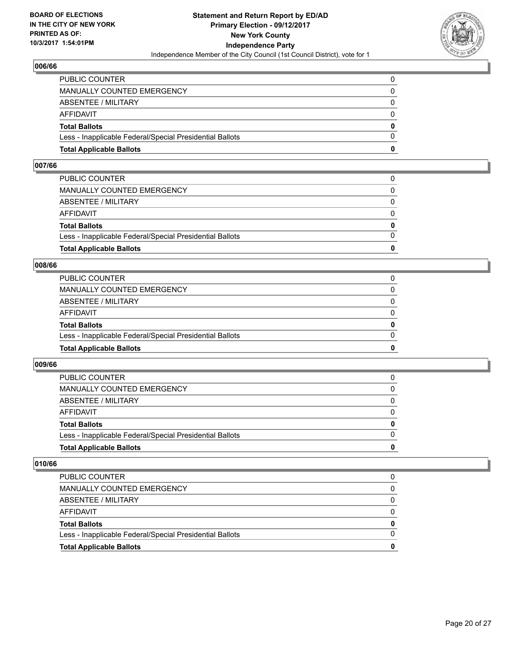

| <b>Total Applicable Ballots</b>                          | o        |
|----------------------------------------------------------|----------|
| Less - Inapplicable Federal/Special Presidential Ballots | 0        |
| <b>Total Ballots</b>                                     | $\bf{0}$ |
| <b>AFFIDAVIT</b>                                         | $\Omega$ |
| <b>ABSENTEE / MILITARY</b>                               | 0        |
| <b>MANUALLY COUNTED EMERGENCY</b>                        | $\Omega$ |
| PUBLIC COUNTER                                           | 0        |

#### **007/66**

| <b>Total Applicable Ballots</b>                          | 0            |
|----------------------------------------------------------|--------------|
|                                                          |              |
| Less - Inapplicable Federal/Special Presidential Ballots | $\Omega$     |
| <b>Total Ballots</b>                                     | $\mathbf{0}$ |
| AFFIDAVIT                                                | $\Omega$     |
| ABSENTEE / MILITARY                                      | $\Omega$     |
| MANUALLY COUNTED EMERGENCY                               | 0            |
| PUBLIC COUNTER                                           |              |
|                                                          |              |

#### **008/66**

| <b>Total Applicable Ballots</b>                          | 0        |
|----------------------------------------------------------|----------|
| Less - Inapplicable Federal/Special Presidential Ballots | $\Omega$ |
| <b>Total Ballots</b>                                     | 0        |
| <b>AFFIDAVIT</b>                                         | 0        |
| ABSENTEE / MILITARY                                      | 0        |
| MANUALLY COUNTED EMERGENCY                               | 0        |
| PUBLIC COUNTER                                           |          |

#### **009/66**

| <b>Total Applicable Ballots</b>                          | 0        |
|----------------------------------------------------------|----------|
| Less - Inapplicable Federal/Special Presidential Ballots |          |
| <b>Total Ballots</b>                                     | $\bf{0}$ |
| <b>AFFIDAVIT</b>                                         |          |
| ABSENTEE / MILITARY                                      | 0        |
| MANUALLY COUNTED EMERGENCY                               | 0        |
| <b>PUBLIC COUNTER</b>                                    | 0        |

| <b>Total Applicable Ballots</b>                          | 0 |
|----------------------------------------------------------|---|
| Less - Inapplicable Federal/Special Presidential Ballots |   |
| <b>Total Ballots</b>                                     | 0 |
| AFFIDAVIT                                                |   |
| ABSENTEE / MILITARY                                      |   |
| MANUALLY COUNTED EMERGENCY                               | 0 |
| <b>PUBLIC COUNTER</b>                                    | 0 |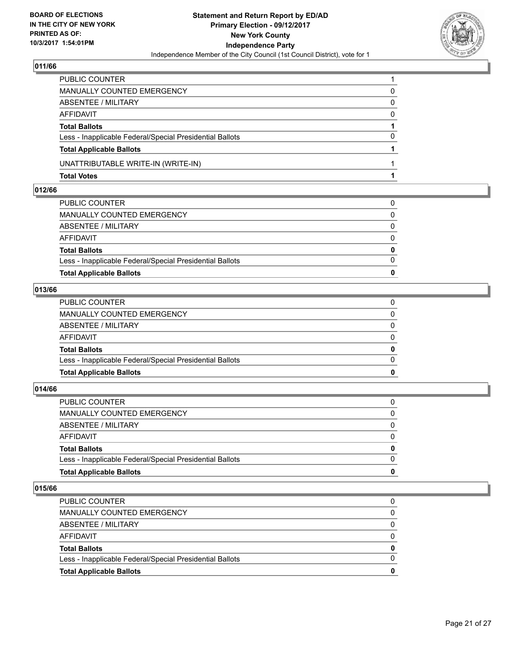

| ABSENTEE / MILITARY<br>AFFIDAVIT                         | $\mathbf{0}$<br>$\Omega$ |
|----------------------------------------------------------|--------------------------|
| <b>Total Ballots</b>                                     |                          |
| Less - Inapplicable Federal/Special Presidential Ballots | $\Omega$                 |
| <b>Total Applicable Ballots</b>                          |                          |
| UNATTRIBUTABLE WRITE-IN (WRITE-IN)                       |                          |
| <b>Total Votes</b>                                       |                          |

### **012/66**

| <b>Total Applicable Ballots</b>                          | $\bf{0}$     |
|----------------------------------------------------------|--------------|
| Less - Inapplicable Federal/Special Presidential Ballots | $\Omega$     |
| <b>Total Ballots</b>                                     | $\bf{0}$     |
| AFFIDAVIT                                                | 0            |
| ABSENTEE / MILITARY                                      | $\Omega$     |
| MANUALLY COUNTED EMERGENCY                               | $\mathbf{0}$ |
| PUBLIC COUNTER                                           | 0            |
|                                                          |              |

# **013/66**

| <b>Total Applicable Ballots</b>                          | $\bf{0}$     |
|----------------------------------------------------------|--------------|
| Less - Inapplicable Federal/Special Presidential Ballots | $\Omega$     |
| <b>Total Ballots</b>                                     | $\bf{0}$     |
| AFFIDAVIT                                                | 0            |
| ABSENTEE / MILITARY                                      | $\Omega$     |
| MANUALLY COUNTED EMERGENCY                               | $\mathbf{0}$ |
| PUBLIC COUNTER                                           | 0            |
|                                                          |              |

# **014/66**

| PUBLIC COUNTER                                           | 0            |
|----------------------------------------------------------|--------------|
| MANUALLY COUNTED EMERGENCY                               | 0            |
| ABSENTEE / MILITARY                                      | $\Omega$     |
| AFFIDAVIT                                                | $\Omega$     |
| <b>Total Ballots</b>                                     | $\mathbf{0}$ |
| Less - Inapplicable Federal/Special Presidential Ballots | $\Omega$     |
| <b>Total Applicable Ballots</b>                          | 0            |
|                                                          |              |

| 0 |
|---|
| 0 |
|   |
|   |
| 0 |
|   |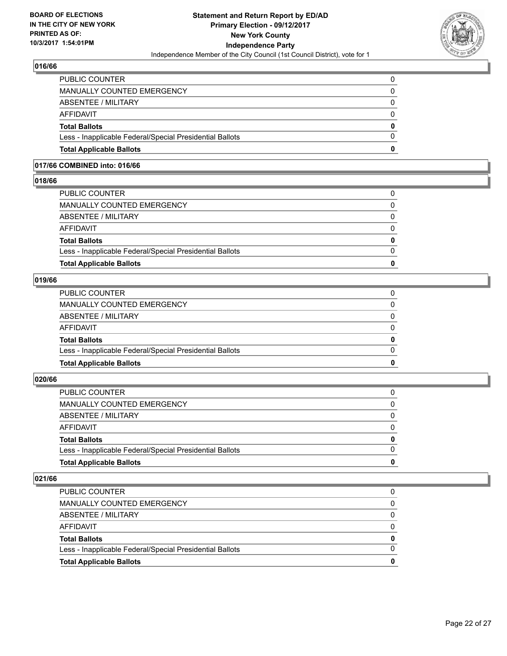

| <b>Total Applicable Ballots</b>                          | 0            |
|----------------------------------------------------------|--------------|
| Less - Inapplicable Federal/Special Presidential Ballots | $\Omega$     |
| <b>Total Ballots</b>                                     | $\mathbf{0}$ |
| AFFIDAVIT                                                | $\Omega$     |
| <b>ABSENTEE / MILITARY</b>                               | 0            |
| MANUALLY COUNTED EMERGENCY                               | 0            |
| PUBLIC COUNTER                                           | 0            |

# **017/66 COMBINED into: 016/66**

#### **018/66**

| PUBLIC COUNTER                                           | 0            |
|----------------------------------------------------------|--------------|
| MANUALLY COUNTED EMERGENCY                               | $\Omega$     |
| ABSENTEE / MILITARY                                      | $\mathbf{0}$ |
| AFFIDAVIT                                                | $\Omega$     |
| <b>Total Ballots</b>                                     | $\mathbf{0}$ |
| Less - Inapplicable Federal/Special Presidential Ballots | $\Omega$     |
| <b>Total Applicable Ballots</b>                          | 0            |
|                                                          |              |

# **019/66**

| <b>Total Applicable Ballots</b>                          | 0            |
|----------------------------------------------------------|--------------|
|                                                          |              |
| Less - Inapplicable Federal/Special Presidential Ballots | $\Omega$     |
| <b>Total Ballots</b>                                     | $\mathbf{0}$ |
| AFFIDAVIT                                                | $\Omega$     |
| ABSENTEE / MILITARY                                      | $\mathbf{0}$ |
| MANUALLY COUNTED EMERGENCY                               | $\Omega$     |
| PUBLIC COUNTER                                           |              |

### **020/66**

| <b>Total Applicable Ballots</b>                          | 0        |
|----------------------------------------------------------|----------|
| Less - Inapplicable Federal/Special Presidential Ballots | $\Omega$ |
| <b>Total Ballots</b>                                     | 0        |
| <b>AFFIDAVIT</b>                                         | $\Omega$ |
| <b>ABSENTEE / MILITARY</b>                               | $\Omega$ |
| <b>MANUALLY COUNTED EMERGENCY</b>                        |          |
| PUBLIC COUNTER                                           |          |

| <b>Total Applicable Ballots</b>                          | 0        |
|----------------------------------------------------------|----------|
| Less - Inapplicable Federal/Special Presidential Ballots | $\Omega$ |
| <b>Total Ballots</b>                                     | 0        |
| AFFIDAVIT                                                | 0        |
| ABSENTEE / MILITARY                                      |          |
| MANUALLY COUNTED EMERGENCY                               | 0        |
| <b>PUBLIC COUNTER</b>                                    | 0        |
|                                                          |          |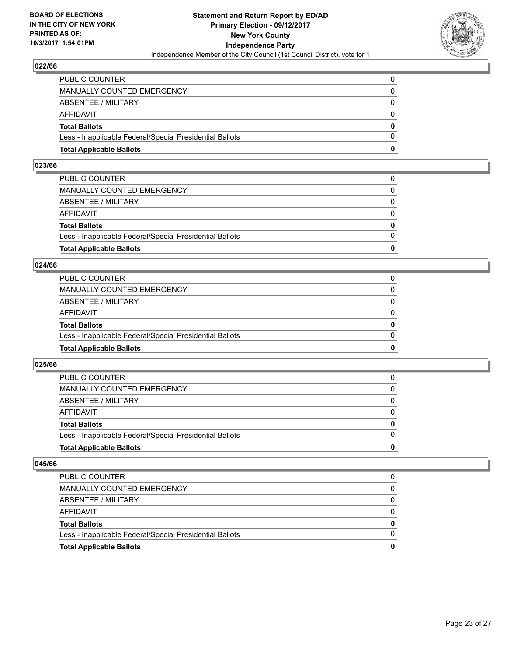

| <b>Total Applicable Ballots</b>                          | n            |
|----------------------------------------------------------|--------------|
| Less - Inapplicable Federal/Special Presidential Ballots | $\Omega$     |
| <b>Total Ballots</b>                                     | $\mathbf{0}$ |
| AFFIDAVIT                                                | $\Omega$     |
| <b>ABSENTEE / MILITARY</b>                               | $\Omega$     |
| <b>MANUALLY COUNTED EMERGENCY</b>                        | $\Omega$     |
| PUBLIC COUNTER                                           |              |

#### **023/66**

| <b>Total Applicable Ballots</b>                          | 0            |
|----------------------------------------------------------|--------------|
|                                                          |              |
| Less - Inapplicable Federal/Special Presidential Ballots | $\Omega$     |
| <b>Total Ballots</b>                                     | $\mathbf{0}$ |
| AFFIDAVIT                                                | $\Omega$     |
| ABSENTEE / MILITARY                                      | $\Omega$     |
| MANUALLY COUNTED EMERGENCY                               | 0            |
| PUBLIC COUNTER                                           |              |
|                                                          |              |

#### **024/66**

| <b>Total Applicable Ballots</b>                          | 0        |
|----------------------------------------------------------|----------|
| Less - Inapplicable Federal/Special Presidential Ballots | $\Omega$ |
| <b>Total Ballots</b>                                     | 0        |
| <b>AFFIDAVIT</b>                                         | $\Omega$ |
| ABSENTEE / MILITARY                                      | 0        |
| MANUALLY COUNTED EMERGENCY                               | $\Omega$ |
| PUBLIC COUNTER                                           |          |

#### **025/66**

| <b>Total Applicable Ballots</b>                          | 0        |
|----------------------------------------------------------|----------|
| Less - Inapplicable Federal/Special Presidential Ballots |          |
| <b>Total Ballots</b>                                     | $\bf{0}$ |
| <b>AFFIDAVIT</b>                                         |          |
| ABSENTEE / MILITARY                                      | 0        |
| MANUALLY COUNTED EMERGENCY                               | 0        |
| <b>PUBLIC COUNTER</b>                                    | 0        |

| <b>Total Applicable Ballots</b>                          |   |
|----------------------------------------------------------|---|
| Less - Inapplicable Federal/Special Presidential Ballots |   |
| <b>Total Ballots</b>                                     | 0 |
| AFFIDAVIT                                                |   |
| ABSENTEE / MILITARY                                      |   |
| MANUALLY COUNTED EMERGENCY                               |   |
| PUBLIC COUNTER                                           |   |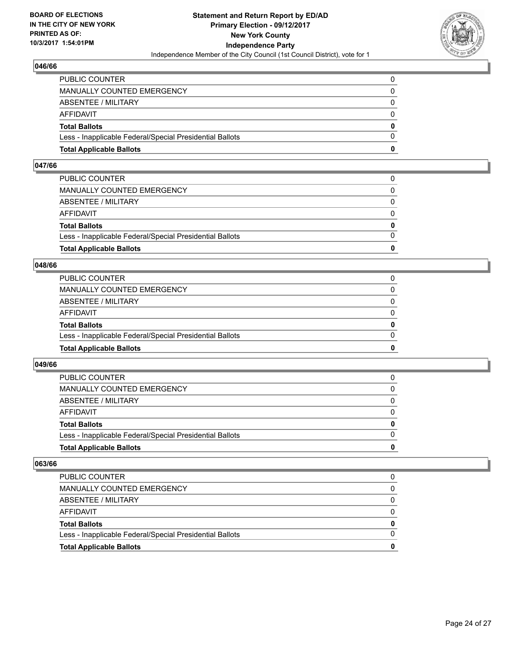

| <b>Total Applicable Ballots</b>                          | o            |
|----------------------------------------------------------|--------------|
| Less - Inapplicable Federal/Special Presidential Ballots | 0            |
| <b>Total Ballots</b>                                     | $\mathbf{0}$ |
| AFFIDAVIT                                                | $\Omega$     |
| ABSENTEE / MILITARY                                      | 0            |
| MANUALLY COUNTED EMERGENCY                               | $\Omega$     |
| PUBLIC COUNTER                                           | 0            |

#### **047/66**

| <b>Total Applicable Ballots</b>                          | 0            |
|----------------------------------------------------------|--------------|
|                                                          |              |
| Less - Inapplicable Federal/Special Presidential Ballots | $\Omega$     |
| <b>Total Ballots</b>                                     | $\mathbf{0}$ |
| AFFIDAVIT                                                | $\Omega$     |
| ABSENTEE / MILITARY                                      | $\Omega$     |
| MANUALLY COUNTED EMERGENCY                               | 0            |
| PUBLIC COUNTER                                           |              |
|                                                          |              |

#### **048/66**

| <b>Total Applicable Ballots</b>                          | 0        |
|----------------------------------------------------------|----------|
| Less - Inapplicable Federal/Special Presidential Ballots | $\Omega$ |
| <b>Total Ballots</b>                                     | 0        |
| <b>AFFIDAVIT</b>                                         | 0        |
| ABSENTEE / MILITARY                                      | $\Omega$ |
| <b>MANUALLY COUNTED EMERGENCY</b>                        | 0        |
| PUBLIC COUNTER                                           |          |

#### **049/66**

| <b>Total Applicable Ballots</b>                          | 0        |
|----------------------------------------------------------|----------|
| Less - Inapplicable Federal/Special Presidential Ballots |          |
| <b>Total Ballots</b>                                     | $\bf{0}$ |
| <b>AFFIDAVIT</b>                                         |          |
| ABSENTEE / MILITARY                                      | 0        |
| MANUALLY COUNTED EMERGENCY                               | 0        |
| <b>PUBLIC COUNTER</b>                                    | 0        |

| <b>Total Applicable Ballots</b>                          |   |
|----------------------------------------------------------|---|
| Less - Inapplicable Federal/Special Presidential Ballots |   |
| <b>Total Ballots</b>                                     | 0 |
| AFFIDAVIT                                                |   |
| ABSENTEE / MILITARY                                      |   |
| MANUALLY COUNTED EMERGENCY                               |   |
| PUBLIC COUNTER                                           |   |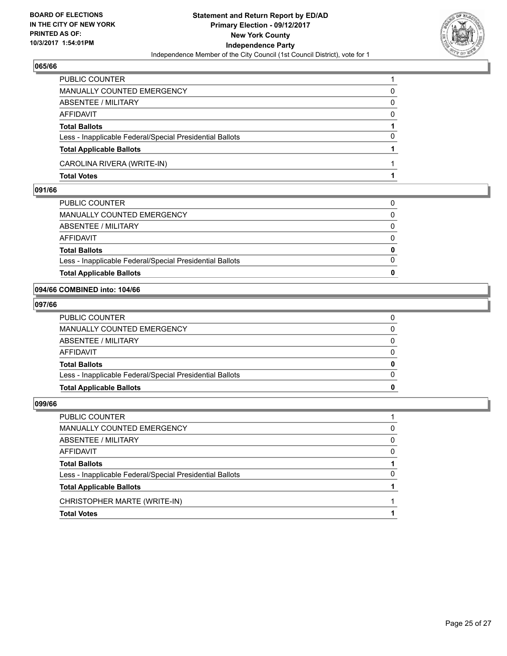

| <b>Total Votes</b>                                       |   |
|----------------------------------------------------------|---|
| CAROLINA RIVERA (WRITE-IN)                               |   |
| <b>Total Applicable Ballots</b>                          |   |
| Less - Inapplicable Federal/Special Presidential Ballots | 0 |
| <b>Total Ballots</b>                                     |   |
| <b>AFFIDAVIT</b>                                         | 0 |
| <b>ABSENTEE / MILITARY</b>                               | 0 |
| <b>MANUALLY COUNTED EMERGENCY</b>                        | 0 |
| PUBLIC COUNTER                                           |   |

### **091/66**

| <b>Total Applicable Ballots</b>                          | 0            |
|----------------------------------------------------------|--------------|
| Less - Inapplicable Federal/Special Presidential Ballots | $\Omega$     |
| <b>Total Ballots</b>                                     | $\mathbf{0}$ |
| AFFIDAVIT                                                | $\Omega$     |
| ABSENTEE / MILITARY                                      | 0            |
| MANUALLY COUNTED EMERGENCY                               | $\Omega$     |
| PUBLIC COUNTER                                           | 0            |

### **094/66 COMBINED into: 104/66**

## **097/66**

| <b>Total Applicable Ballots</b>                          | 0            |
|----------------------------------------------------------|--------------|
| Less - Inapplicable Federal/Special Presidential Ballots | $\Omega$     |
| <b>Total Ballots</b>                                     | $\mathbf{0}$ |
| AFFIDAVIT                                                | $\Omega$     |
| ABSENTEE / MILITARY                                      | $\mathbf{0}$ |
| MANUALLY COUNTED EMERGENCY                               | 0            |
| PUBLIC COUNTER                                           | 0            |

| PUBLIC COUNTER                                           |              |
|----------------------------------------------------------|--------------|
| MANUALLY COUNTED EMERGENCY                               | 0            |
| ABSENTEE / MILITARY                                      | 0            |
| AFFIDAVIT                                                | <sup>0</sup> |
| <b>Total Ballots</b>                                     |              |
| Less - Inapplicable Federal/Special Presidential Ballots | 0            |
| <b>Total Applicable Ballots</b>                          |              |
| CHRISTOPHER MARTE (WRITE-IN)                             |              |
| <b>Total Votes</b>                                       |              |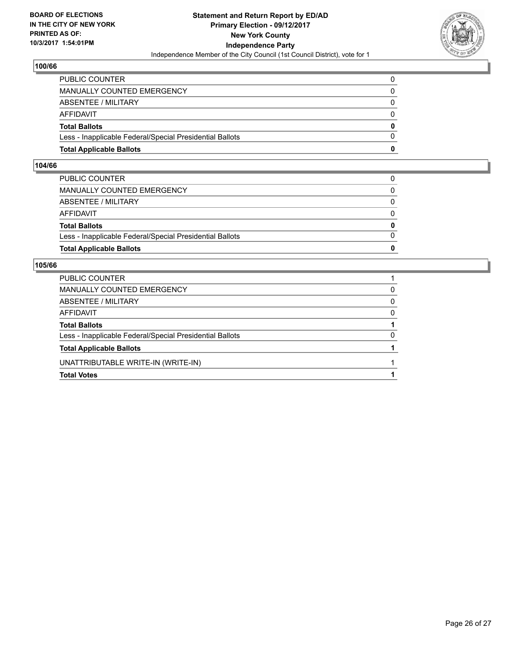

| <b>Total Applicable Ballots</b>                          | o            |
|----------------------------------------------------------|--------------|
| Less - Inapplicable Federal/Special Presidential Ballots | $\Omega$     |
| <b>Total Ballots</b>                                     | $\mathbf{0}$ |
| AFFIDAVIT                                                | 0            |
| ABSENTEE / MILITARY                                      | $\Omega$     |
| <b>MANUALLY COUNTED EMERGENCY</b>                        |              |
| PUBLIC COUNTER                                           |              |

#### **104/66**

| <b>Total Applicable Ballots</b>                          | $\bf{0}$     |
|----------------------------------------------------------|--------------|
| Less - Inapplicable Federal/Special Presidential Ballots | $\Omega$     |
| <b>Total Ballots</b>                                     | 0            |
| AFFIDAVIT                                                | 0            |
| ABSENTEE / MILITARY                                      | $\Omega$     |
| MANUALLY COUNTED EMERGENCY                               | $\mathbf{0}$ |
| PUBLIC COUNTER                                           | 0            |
|                                                          |              |

| <b>PUBLIC COUNTER</b>                                    |   |
|----------------------------------------------------------|---|
| MANUALLY COUNTED EMERGENCY                               | 0 |
| ABSENTEE / MILITARY                                      | 0 |
| AFFIDAVIT                                                | 0 |
| <b>Total Ballots</b>                                     |   |
| Less - Inapplicable Federal/Special Presidential Ballots | 0 |
| <b>Total Applicable Ballots</b>                          |   |
| UNATTRIBUTABLE WRITE-IN (WRITE-IN)                       |   |
| <b>Total Votes</b>                                       |   |
|                                                          |   |